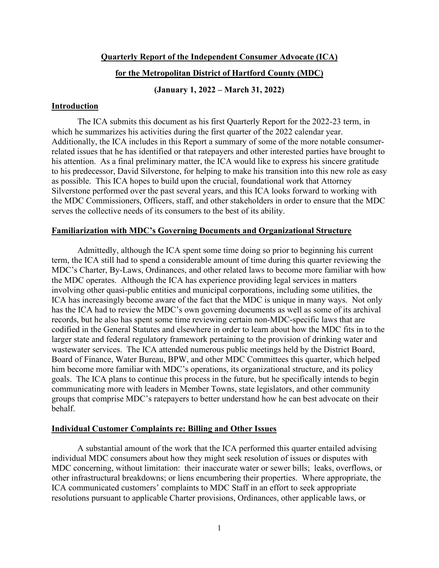### **Quarterly Report of the Independent Consumer Advocate (ICA)**

# **for the Metropolitan District of Hartford County (MDC)**

**(January 1, 2022 – March 31, 2022)** 

# **Introduction**

 The ICA submits this document as his first Quarterly Report for the 2022-23 term, in which he summarizes his activities during the first quarter of the 2022 calendar year. Additionally, the ICA includes in this Report a summary of some of the more notable consumerrelated issues that he has identified or that ratepayers and other interested parties have brought to his attention. As a final preliminary matter, the ICA would like to express his sincere gratitude to his predecessor, David Silverstone, for helping to make his transition into this new role as easy as possible. This ICA hopes to build upon the crucial, foundational work that Attorney Silverstone performed over the past several years, and this ICA looks forward to working with the MDC Commissioners, Officers, staff, and other stakeholders in order to ensure that the MDC serves the collective needs of its consumers to the best of its ability.

# **Familiarization with MDC's Governing Documents and Organizational Structure**

 Admittedly, although the ICA spent some time doing so prior to beginning his current term, the ICA still had to spend a considerable amount of time during this quarter reviewing the MDC's Charter, By-Laws, Ordinances, and other related laws to become more familiar with how the MDC operates. Although the ICA has experience providing legal services in matters involving other quasi-public entities and municipal corporations, including some utilities, the ICA has increasingly become aware of the fact that the MDC is unique in many ways. Not only has the ICA had to review the MDC's own governing documents as well as some of its archival records, but he also has spent some time reviewing certain non-MDC-specific laws that are codified in the General Statutes and elsewhere in order to learn about how the MDC fits in to the larger state and federal regulatory framework pertaining to the provision of drinking water and wastewater services. The ICA attended numerous public meetings held by the District Board, Board of Finance, Water Bureau, BPW, and other MDC Committees this quarter, which helped him become more familiar with MDC's operations, its organizational structure, and its policy goals. The ICA plans to continue this process in the future, but he specifically intends to begin communicating more with leaders in Member Towns, state legislators, and other community groups that comprise MDC's ratepayers to better understand how he can best advocate on their behalf.

### **Individual Customer Complaints re: Billing and Other Issues**

 A substantial amount of the work that the ICA performed this quarter entailed advising individual MDC consumers about how they might seek resolution of issues or disputes with MDC concerning, without limitation: their inaccurate water or sewer bills; leaks, overflows, or other infrastructural breakdowns; or liens encumbering their properties. Where appropriate, the ICA communicated customers' complaints to MDC Staff in an effort to seek appropriate resolutions pursuant to applicable Charter provisions, Ordinances, other applicable laws, or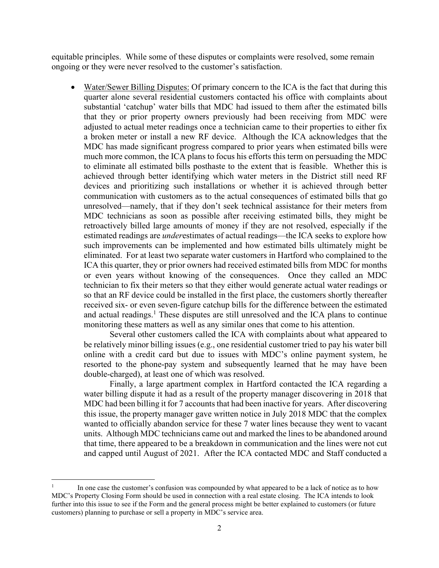equitable principles. While some of these disputes or complaints were resolved, some remain ongoing or they were never resolved to the customer's satisfaction.

• Water/Sewer Billing Disputes: Of primary concern to the ICA is the fact that during this quarter alone several residential customers contacted his office with complaints about substantial 'catchup' water bills that MDC had issued to them after the estimated bills that they or prior property owners previously had been receiving from MDC were adjusted to actual meter readings once a technician came to their properties to either fix a broken meter or install a new RF device. Although the ICA acknowledges that the MDC has made significant progress compared to prior years when estimated bills were much more common, the ICA plans to focus his efforts this term on persuading the MDC to eliminate all estimated bills posthaste to the extent that is feasible. Whether this is achieved through better identifying which water meters in the District still need RF devices and prioritizing such installations or whether it is achieved through better communication with customers as to the actual consequences of estimated bills that go unresolved—namely, that if they don't seek technical assistance for their meters from MDC technicians as soon as possible after receiving estimated bills, they might be retroactively billed large amounts of money if they are not resolved, especially if the estimated readings are *under*estimates of actual readings—the ICA seeks to explore how such improvements can be implemented and how estimated bills ultimately might be eliminated. For at least two separate water customers in Hartford who complained to the ICA this quarter, they or prior owners had received estimated bills from MDC for months or even years without knowing of the consequences. Once they called an MDC technician to fix their meters so that they either would generate actual water readings or so that an RF device could be installed in the first place, the customers shortly thereafter received six- or even seven-figure catchup bills for the difference between the estimated and actual readings.<sup>1</sup> These disputes are still unresolved and the ICA plans to continue monitoring these matters as well as any similar ones that come to his attention.

Several other customers called the ICA with complaints about what appeared to be relatively minor billing issues (e.g., one residential customer tried to pay his water bill online with a credit card but due to issues with MDC's online payment system, he resorted to the phone-pay system and subsequently learned that he may have been double-charged), at least one of which was resolved.

Finally, a large apartment complex in Hartford contacted the ICA regarding a water billing dispute it had as a result of the property manager discovering in 2018 that MDC had been billing it for 7 accounts that had been inactive for years. After discovering this issue, the property manager gave written notice in July 2018 MDC that the complex wanted to officially abandon service for these 7 water lines because they went to vacant units. Although MDC technicians came out and marked the lines to be abandoned around that time, there appeared to be a breakdown in communication and the lines were not cut and capped until August of 2021. After the ICA contacted MDC and Staff conducted a

<sup>1</sup> In one case the customer's confusion was compounded by what appeared to be a lack of notice as to how MDC's Property Closing Form should be used in connection with a real estate closing. The ICA intends to look further into this issue to see if the Form and the general process might be better explained to customers (or future customers) planning to purchase or sell a property in MDC's service area.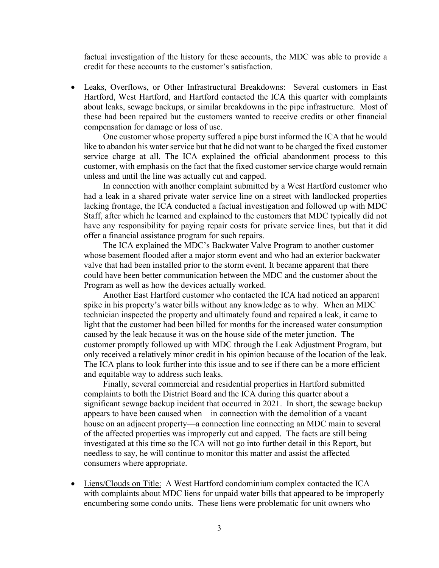factual investigation of the history for these accounts, the MDC was able to provide a credit for these accounts to the customer's satisfaction.

• Leaks, Overflows, or Other Infrastructural Breakdowns: Several customers in East Hartford, West Hartford, and Hartford contacted the ICA this quarter with complaints about leaks, sewage backups, or similar breakdowns in the pipe infrastructure. Most of these had been repaired but the customers wanted to receive credits or other financial compensation for damage or loss of use.

One customer whose property suffered a pipe burst informed the ICA that he would like to abandon his water service but that he did not want to be charged the fixed customer service charge at all. The ICA explained the official abandonment process to this customer, with emphasis on the fact that the fixed customer service charge would remain unless and until the line was actually cut and capped.

In connection with another complaint submitted by a West Hartford customer who had a leak in a shared private water service line on a street with landlocked properties lacking frontage, the ICA conducted a factual investigation and followed up with MDC Staff, after which he learned and explained to the customers that MDC typically did not have any responsibility for paying repair costs for private service lines, but that it did offer a financial assistance program for such repairs.

The ICA explained the MDC's Backwater Valve Program to another customer whose basement flooded after a major storm event and who had an exterior backwater valve that had been installed prior to the storm event. It became apparent that there could have been better communication between the MDC and the customer about the Program as well as how the devices actually worked.

Another East Hartford customer who contacted the ICA had noticed an apparent spike in his property's water bills without any knowledge as to why. When an MDC technician inspected the property and ultimately found and repaired a leak, it came to light that the customer had been billed for months for the increased water consumption caused by the leak because it was on the house side of the meter junction. The customer promptly followed up with MDC through the Leak Adjustment Program, but only received a relatively minor credit in his opinion because of the location of the leak. The ICA plans to look further into this issue and to see if there can be a more efficient and equitable way to address such leaks.

Finally, several commercial and residential properties in Hartford submitted complaints to both the District Board and the ICA during this quarter about a significant sewage backup incident that occurred in 2021. In short, the sewage backup appears to have been caused when—in connection with the demolition of a vacant house on an adjacent property—a connection line connecting an MDC main to several of the affected properties was improperly cut and capped. The facts are still being investigated at this time so the ICA will not go into further detail in this Report, but needless to say, he will continue to monitor this matter and assist the affected consumers where appropriate.

• Liens/Clouds on Title: A West Hartford condominium complex contacted the ICA with complaints about MDC liens for unpaid water bills that appeared to be improperly encumbering some condo units. These liens were problematic for unit owners who